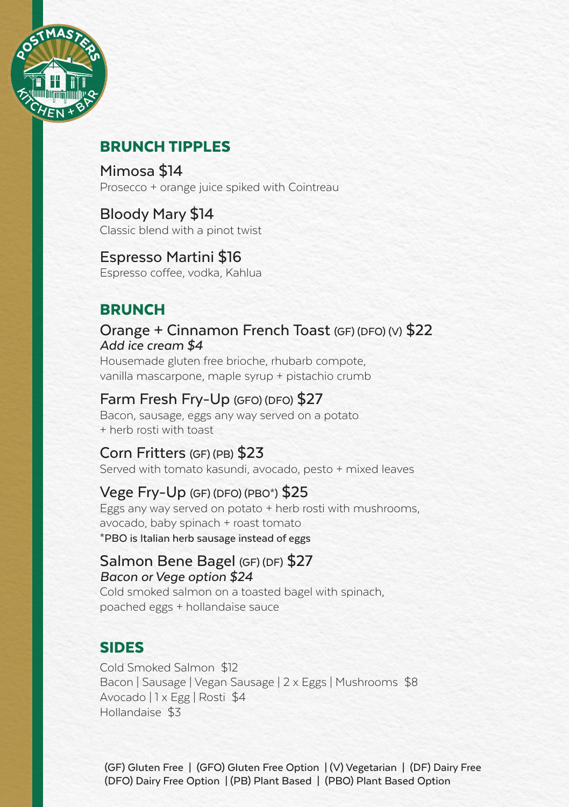

# BRUNCH TIPPLES

Mimosa \$14 Prosecco + orange juice spiked with Cointreau

Bloody Mary \$14 Classic blend with a pinot twist

Espresso Martini \$16 Espresso coffee, vodka, Kahlua

# **BRUNCH**

Orange + Cinnamon French Toast (GF) (DFO) (V) \$22 *Add ice cream \$4* 

Housemade gluten free brioche, rhubarb compote, vanilla mascarpone, maple syrup + pistachio crumb

#### Farm Fresh Fry-Up (GFO) (DFO) \$27

Bacon, sausage, eggs any way served on a potato + herb rosti with toast

### Corn Fritters (GF) (PB) \$23

Served with tomato kasundi, avocado, pesto + mixed leaves

#### Vege Fry-Up (GF) (DFO) (PBO\*) \$25

Eggs any way served on potato + herb rosti with mushrooms, avocado, baby spinach + roast tomato \*PBO is Italian herb sausage instead of eggs

#### Salmon Bene Bagel (GF) (DF) \$27 *Bacon or Vege option \$24*

Cold smoked salmon on a toasted bagel with spinach. poached eggs + hollandaise sauce

#### SIDES

Cold Smoked Salmon \$12 Bacon | Sausage | Vegan Sausage | 2 x Eggs | Mushrooms \$8 Avocado | 1 x Egg | Rosti \$4 Hollandaise \$3

(GF) Gluten Free | (GFO) Gluten Free Option | (V) Vegetarian | (DF) Dairy Free (DFO) Dairy Free Option | (PB) Plant Based | (PBO) Plant Based Option